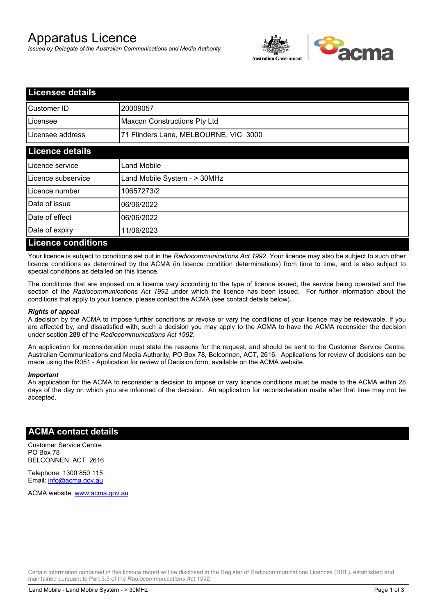# Apparatus Licence

*Issued by Delegate of the Australian Communications and Media Authority*



| <b>Licensee details</b>   |                                       |  |  |
|---------------------------|---------------------------------------|--|--|
| Customer ID               | 20009057                              |  |  |
| Licensee                  | <b>Maxcon Constructions Pty Ltd</b>   |  |  |
| Licensee address          | 71 Flinders Lane, MELBOURNE, VIC 3000 |  |  |
| <b>Licence details</b>    |                                       |  |  |
| Licence service           | Land Mobile                           |  |  |
| Licence subservice        | Land Mobile System - > 30MHz          |  |  |
| Licence number            | 10657273/2                            |  |  |
| Date of issue             | 06/06/2022                            |  |  |
| Date of effect            | 06/06/2022                            |  |  |
| Date of expiry            | 11/06/2023                            |  |  |
| <b>Licence conditions</b> |                                       |  |  |

Your licence is subject to conditions set out in the *Radiocommunications Act 1992*. Your licence may also be subject to such other licence conditions as determined by the ACMA (in licence condition determinations) from time to time, and is also subject to special conditions as detailed on this licence.

The conditions that are imposed on a licence vary according to the type of licence issued, the service being operated and the section of the *Radiocommunications Act 1992* under which the licence has been issued. For further information about the conditions that apply to your licence, please contact the ACMA (see contact details below).

#### *Rights of appeal*

A decision by the ACMA to impose further conditions or revoke or vary the conditions of your licence may be reviewable. If you are affected by, and dissatisfied with, such a decision you may apply to the ACMA to have the ACMA reconsider the decision under section 288 of the *Radiocommunications Act 1992*.

An application for reconsideration must state the reasons for the request, and should be sent to the Customer Service Centre, Australian Communications and Media Authority, PO Box 78, Belconnen, ACT, 2616. Applications for review of decisions can be made using the R051 - Application for review of Decision form, available on the ACMA website.

#### *Important*

An application for the ACMA to reconsider a decision to impose or vary licence conditions must be made to the ACMA within 28 days of the day on which you are informed of the decision. An application for reconsideration made after that time may not be accepted.

#### **ACMA contact details**

Customer Service Centre PO Box 78 BELCONNEN ACT 2616

Telephone: 1300 850 115 Email: info@acma.gov.au

ACMA website: www.acma.gov.au

Certain information contained in this licence record will be disclosed in the Register of Radiocommunications Licences (RRL), established and maintained pursuant to Part 3.5 of the *Radiocommunications Act 1992.*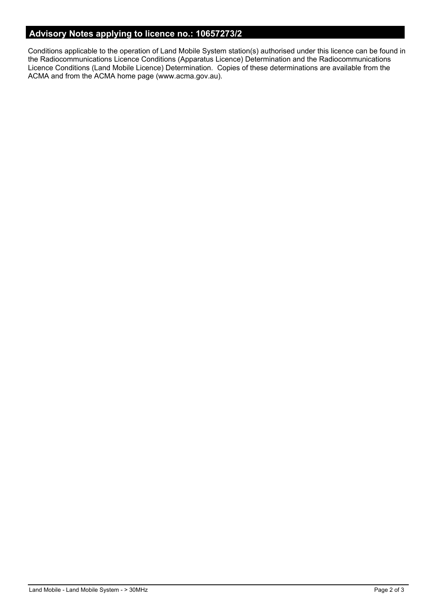### **Advisory Notes applying to licence no.: 10657273/2**

Conditions applicable to the operation of Land Mobile System station(s) authorised under this licence can be found in the Radiocommunications Licence Conditions (Apparatus Licence) Determination and the Radiocommunications Licence Conditions (Land Mobile Licence) Determination. Copies of these determinations are available from the ACMA and from the ACMA home page (www.acma.gov.au).